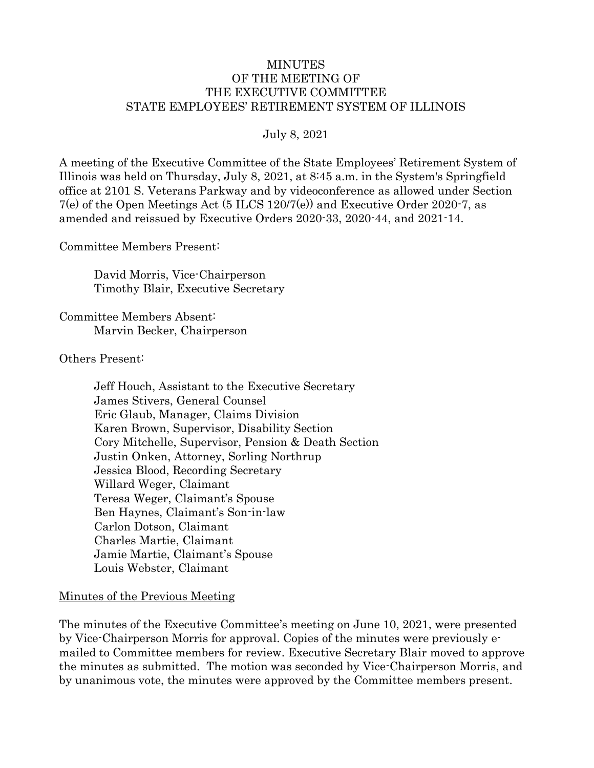#### MINUTES OF THE MEETING OF THE EXECUTIVE COMMITTEE STATE EMPLOYEES' RETIREMENT SYSTEM OF ILLINOIS

#### July 8, 2021

A meeting of the Executive Committee of the State Employees' Retirement System of Illinois was held on Thursday, July 8, 2021, at 8:45 a.m. in the System's Springfield office at 2101 S. Veterans Parkway and by videoconference as allowed under Section 7(e) of the Open Meetings Act (5 ILCS 120/7(e)) and Executive Order 2020-7, as amended and reissued by Executive Orders 2020-33, 2020-44, and 2021-14.

Committee Members Present:

David Morris, Vice-Chairperson Timothy Blair, Executive Secretary

Committee Members Absent: Marvin Becker, Chairperson

Others Present:

Jeff Houch, Assistant to the Executive Secretary James Stivers, General Counsel Eric Glaub, Manager, Claims Division Karen Brown, Supervisor, Disability Section Cory Mitchelle, Supervisor, Pension & Death Section Justin Onken, Attorney, Sorling Northrup Jessica Blood, Recording Secretary Willard Weger, Claimant Teresa Weger, Claimant's Spouse Ben Haynes, Claimant's Son-in-law Carlon Dotson, Claimant Charles Martie, Claimant Jamie Martie, Claimant's Spouse Louis Webster, Claimant

#### Minutes of the Previous Meeting

The minutes of the Executive Committee's meeting on June 10, 2021, were presented by Vice-Chairperson Morris for approval. Copies of the minutes were previously emailed to Committee members for review. Executive Secretary Blair moved to approve the minutes as submitted. The motion was seconded by Vice-Chairperson Morris, and by unanimous vote, the minutes were approved by the Committee members present.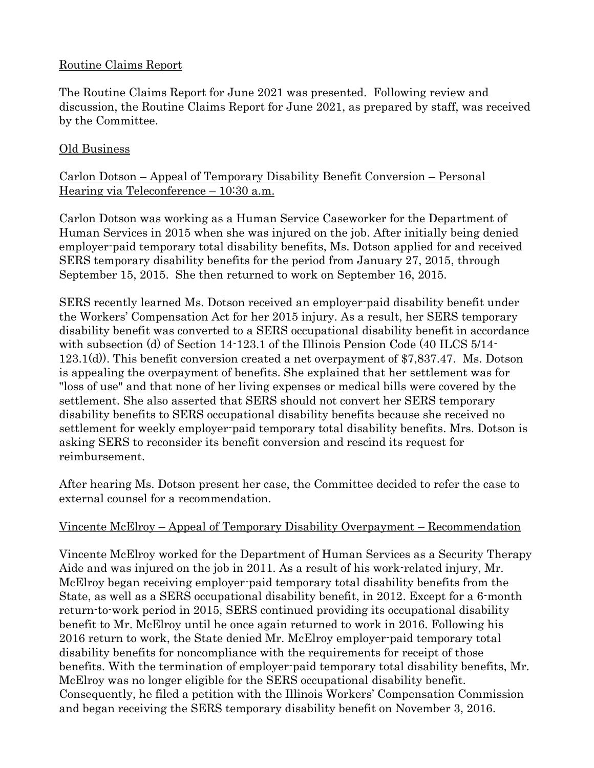### Routine Claims Report

The Routine Claims Report for June 2021 was presented. Following review and discussion, the Routine Claims Report for June 2021, as prepared by staff, was received by the Committee.

# Old Business

# Carlon Dotson – Appeal of Temporary Disability Benefit Conversion – Personal Hearing via Teleconference – 10:30 a.m.

Carlon Dotson was working as a Human Service Caseworker for the Department of Human Services in 2015 when she was injured on the job. After initially being denied employer-paid temporary total disability benefits, Ms. Dotson applied for and received SERS temporary disability benefits for the period from January 27, 2015, through September 15, 2015. She then returned to work on September 16, 2015.

SERS recently learned Ms. Dotson received an employer-paid disability benefit under the Workers' Compensation Act for her 2015 injury. As a result, her SERS temporary disability benefit was converted to a SERS occupational disability benefit in accordance with subsection (d) of Section 14-123.1 of the Illinois Pension Code (40 ILCS 5/14-123.1(d)). This benefit conversion created a net overpayment of \$7,837.47. Ms. Dotson is appealing the overpayment of benefits. She explained that her settlement was for "loss of use" and that none of her living expenses or medical bills were covered by the settlement. She also asserted that SERS should not convert her SERS temporary disability benefits to SERS occupational disability benefits because she received no settlement for weekly employer-paid temporary total disability benefits. Mrs. Dotson is asking SERS to reconsider its benefit conversion and rescind its request for reimbursement.

After hearing Ms. Dotson present her case, the Committee decided to refer the case to external counsel for a recommendation.

# Vincente McElroy – Appeal of Temporary Disability Overpayment – Recommendation

Vincente McElroy worked for the Department of Human Services as a Security Therapy Aide and was injured on the job in 2011. As a result of his work-related injury, Mr. McElroy began receiving employer-paid temporary total disability benefits from the State, as well as a SERS occupational disability benefit, in 2012. Except for a 6-month return-to-work period in 2015, SERS continued providing its occupational disability benefit to Mr. McElroy until he once again returned to work in 2016. Following his 2016 return to work, the State denied Mr. McElroy employer-paid temporary total disability benefits for noncompliance with the requirements for receipt of those benefits. With the termination of employer-paid temporary total disability benefits, Mr. McElroy was no longer eligible for the SERS occupational disability benefit. Consequently, he filed a petition with the Illinois Workers' Compensation Commission and began receiving the SERS temporary disability benefit on November 3, 2016.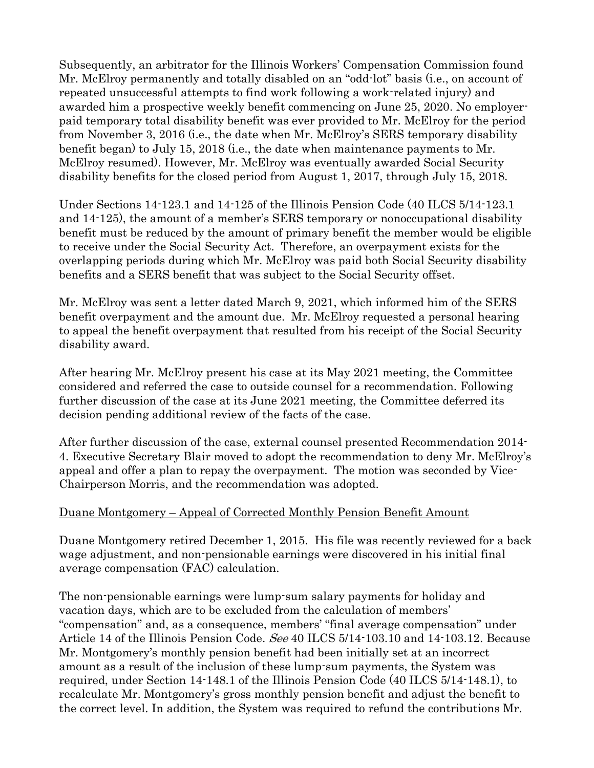Subsequently, an arbitrator for the Illinois Workers' Compensation Commission found Mr. McElroy permanently and totally disabled on an "odd-lot" basis (i.e., on account of repeated unsuccessful attempts to find work following a work-related injury) and awarded him a prospective weekly benefit commencing on June 25, 2020. No employerpaid temporary total disability benefit was ever provided to Mr. McElroy for the period from November 3, 2016 (i.e., the date when Mr. McElroy's SERS temporary disability benefit began) to July 15, 2018 (i.e., the date when maintenance payments to Mr. McElroy resumed). However, Mr. McElroy was eventually awarded Social Security disability benefits for the closed period from August 1, 2017, through July 15, 2018.

Under Sections 14-123.1 and 14-125 of the Illinois Pension Code (40 ILCS 5/14-123.1 and 14-125), the amount of a member's SERS temporary or nonoccupational disability benefit must be reduced by the amount of primary benefit the member would be eligible to receive under the Social Security Act. Therefore, an overpayment exists for the overlapping periods during which Mr. McElroy was paid both Social Security disability benefits and a SERS benefit that was subject to the Social Security offset.

Mr. McElroy was sent a letter dated March 9, 2021, which informed him of the SERS benefit overpayment and the amount due. Mr. McElroy requested a personal hearing to appeal the benefit overpayment that resulted from his receipt of the Social Security disability award.

After hearing Mr. McElroy present his case at its May 2021 meeting, the Committee considered and referred the case to outside counsel for a recommendation. Following further discussion of the case at its June 2021 meeting, the Committee deferred its decision pending additional review of the facts of the case.

After further discussion of the case, external counsel presented Recommendation 2014- 4. Executive Secretary Blair moved to adopt the recommendation to deny Mr. McElroy's appeal and offer a plan to repay the overpayment. The motion was seconded by Vice-Chairperson Morris, and the recommendation was adopted.

#### Duane Montgomery – Appeal of Corrected Monthly Pension Benefit Amount

Duane Montgomery retired December 1, 2015. His file was recently reviewed for a back wage adjustment, and non-pensionable earnings were discovered in his initial final average compensation (FAC) calculation.

The non-pensionable earnings were lump-sum salary payments for holiday and vacation days, which are to be excluded from the calculation of members' "compensation" and, as a consequence, members' "final average compensation" under Article 14 of the Illinois Pension Code. See 40 ILCS 5/14-103.10 and 14-103.12. Because Mr. Montgomery's monthly pension benefit had been initially set at an incorrect amount as a result of the inclusion of these lump-sum payments, the System was required, under Section 14-148.1 of the Illinois Pension Code (40 ILCS 5/14-148.1), to recalculate Mr. Montgomery's gross monthly pension benefit and adjust the benefit to the correct level. In addition, the System was required to refund the contributions Mr.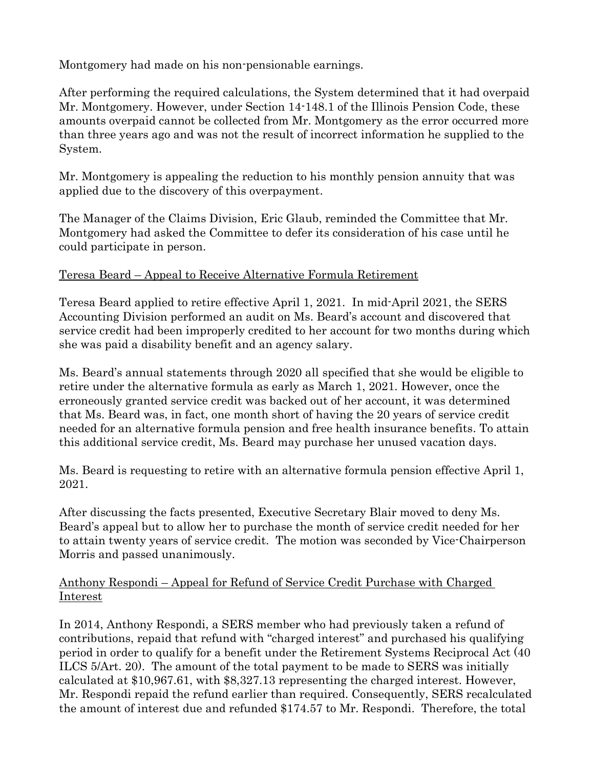Montgomery had made on his non-pensionable earnings.

After performing the required calculations, the System determined that it had overpaid Mr. Montgomery. However, under Section 14-148.1 of the Illinois Pension Code, these amounts overpaid cannot be collected from Mr. Montgomery as the error occurred more than three years ago and was not the result of incorrect information he supplied to the System.

Mr. Montgomery is appealing the reduction to his monthly pension annuity that was applied due to the discovery of this overpayment.

The Manager of the Claims Division, Eric Glaub, reminded the Committee that Mr. Montgomery had asked the Committee to defer its consideration of his case until he could participate in person.

# Teresa Beard – Appeal to Receive Alternative Formula Retirement

Teresa Beard applied to retire effective April 1, 2021. In mid-April 2021, the SERS Accounting Division performed an audit on Ms. Beard's account and discovered that service credit had been improperly credited to her account for two months during which she was paid a disability benefit and an agency salary.

Ms. Beard's annual statements through 2020 all specified that she would be eligible to retire under the alternative formula as early as March 1, 2021. However, once the erroneously granted service credit was backed out of her account, it was determined that Ms. Beard was, in fact, one month short of having the 20 years of service credit needed for an alternative formula pension and free health insurance benefits. To attain this additional service credit, Ms. Beard may purchase her unused vacation days.

Ms. Beard is requesting to retire with an alternative formula pension effective April 1, 2021.

After discussing the facts presented, Executive Secretary Blair moved to deny Ms. Beard's appeal but to allow her to purchase the month of service credit needed for her to attain twenty years of service credit. The motion was seconded by Vice-Chairperson Morris and passed unanimously.

# Anthony Respondi – Appeal for Refund of Service Credit Purchase with Charged Interest

In 2014, Anthony Respondi, a SERS member who had previously taken a refund of contributions, repaid that refund with "charged interest" and purchased his qualifying period in order to qualify for a benefit under the Retirement Systems Reciprocal Act (40 ILCS 5/Art. 20). The amount of the total payment to be made to SERS was initially calculated at \$10,967.61, with \$8,327.13 representing the charged interest. However, Mr. Respondi repaid the refund earlier than required. Consequently, SERS recalculated the amount of interest due and refunded \$174.57 to Mr. Respondi. Therefore, the total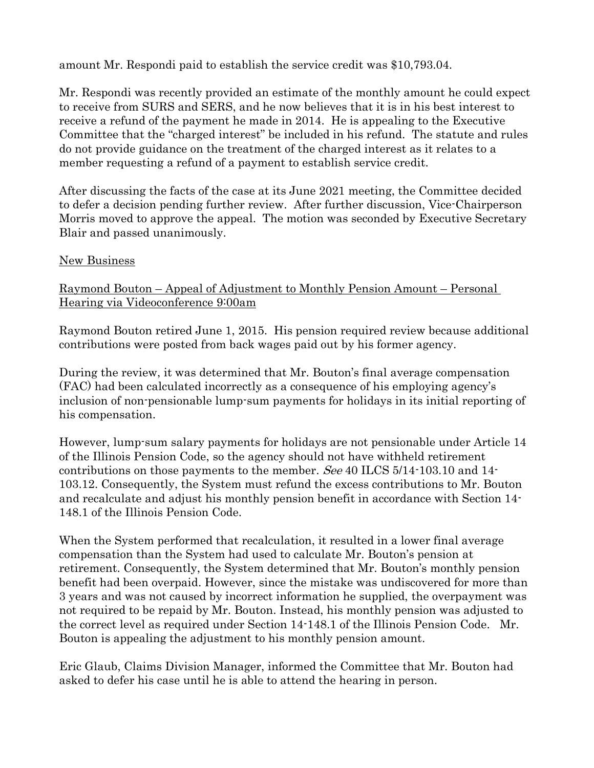amount Mr. Respondi paid to establish the service credit was \$10,793.04.

Mr. Respondi was recently provided an estimate of the monthly amount he could expect to receive from SURS and SERS, and he now believes that it is in his best interest to receive a refund of the payment he made in 2014. He is appealing to the Executive Committee that the "charged interest" be included in his refund. The statute and rules do not provide guidance on the treatment of the charged interest as it relates to a member requesting a refund of a payment to establish service credit.

After discussing the facts of the case at its June 2021 meeting, the Committee decided to defer a decision pending further review. After further discussion, Vice-Chairperson Morris moved to approve the appeal. The motion was seconded by Executive Secretary Blair and passed unanimously.

### New Business

Raymond Bouton – Appeal of Adjustment to Monthly Pension Amount – Personal Hearing via Videoconference 9:00am

Raymond Bouton retired June 1, 2015. His pension required review because additional contributions were posted from back wages paid out by his former agency.

During the review, it was determined that Mr. Bouton's final average compensation (FAC) had been calculated incorrectly as a consequence of his employing agency's inclusion of non-pensionable lump-sum payments for holidays in its initial reporting of his compensation.

However, lump-sum salary payments for holidays are not pensionable under Article 14 of the Illinois Pension Code, so the agency should not have withheld retirement contributions on those payments to the member. See 40 ILCS 5/14-103.10 and 14- 103.12. Consequently, the System must refund the excess contributions to Mr. Bouton and recalculate and adjust his monthly pension benefit in accordance with Section 14- 148.1 of the Illinois Pension Code.

When the System performed that recalculation, it resulted in a lower final average compensation than the System had used to calculate Mr. Bouton's pension at retirement. Consequently, the System determined that Mr. Bouton's monthly pension benefit had been overpaid. However, since the mistake was undiscovered for more than 3 years and was not caused by incorrect information he supplied, the overpayment was not required to be repaid by Mr. Bouton. Instead, his monthly pension was adjusted to the correct level as required under Section 14-148.1 of the Illinois Pension Code. Mr. Bouton is appealing the adjustment to his monthly pension amount.

Eric Glaub, Claims Division Manager, informed the Committee that Mr. Bouton had asked to defer his case until he is able to attend the hearing in person.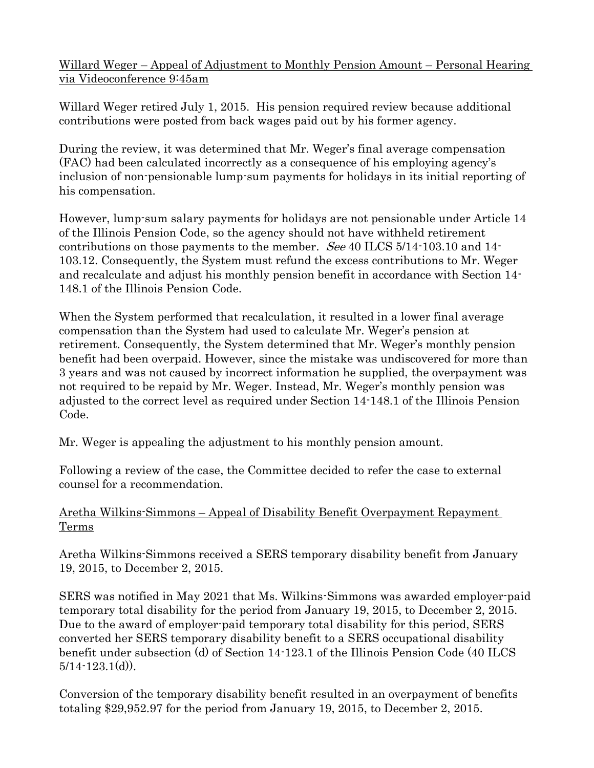Willard Weger – Appeal of Adjustment to Monthly Pension Amount – Personal Hearing via Videoconference 9:45am

Willard Weger retired July 1, 2015. His pension required review because additional contributions were posted from back wages paid out by his former agency.

During the review, it was determined that Mr. Weger's final average compensation (FAC) had been calculated incorrectly as a consequence of his employing agency's inclusion of non-pensionable lump-sum payments for holidays in its initial reporting of his compensation.

However, lump-sum salary payments for holidays are not pensionable under Article 14 of the Illinois Pension Code, so the agency should not have withheld retirement contributions on those payments to the member. See 40 ILCS 5/14-103.10 and 14- 103.12. Consequently, the System must refund the excess contributions to Mr. Weger and recalculate and adjust his monthly pension benefit in accordance with Section 14- 148.1 of the Illinois Pension Code.

When the System performed that recalculation, it resulted in a lower final average compensation than the System had used to calculate Mr. Weger's pension at retirement. Consequently, the System determined that Mr. Weger's monthly pension benefit had been overpaid. However, since the mistake was undiscovered for more than 3 years and was not caused by incorrect information he supplied, the overpayment was not required to be repaid by Mr. Weger. Instead, Mr. Weger's monthly pension was adjusted to the correct level as required under Section 14-148.1 of the Illinois Pension Code.

Mr. Weger is appealing the adjustment to his monthly pension amount.

Following a review of the case, the Committee decided to refer the case to external counsel for a recommendation.

# Aretha Wilkins-Simmons – Appeal of Disability Benefit Overpayment Repayment Terms

Aretha Wilkins-Simmons received a SERS temporary disability benefit from January 19, 2015, to December 2, 2015.

SERS was notified in May 2021 that Ms. Wilkins-Simmons was awarded employer-paid temporary total disability for the period from January 19, 2015, to December 2, 2015. Due to the award of employer-paid temporary total disability for this period, SERS converted her SERS temporary disability benefit to a SERS occupational disability benefit under subsection (d) of Section 14-123.1 of the Illinois Pension Code (40 ILCS  $5/14 - 123.1(d)$ .

Conversion of the temporary disability benefit resulted in an overpayment of benefits totaling \$29,952.97 for the period from January 19, 2015, to December 2, 2015.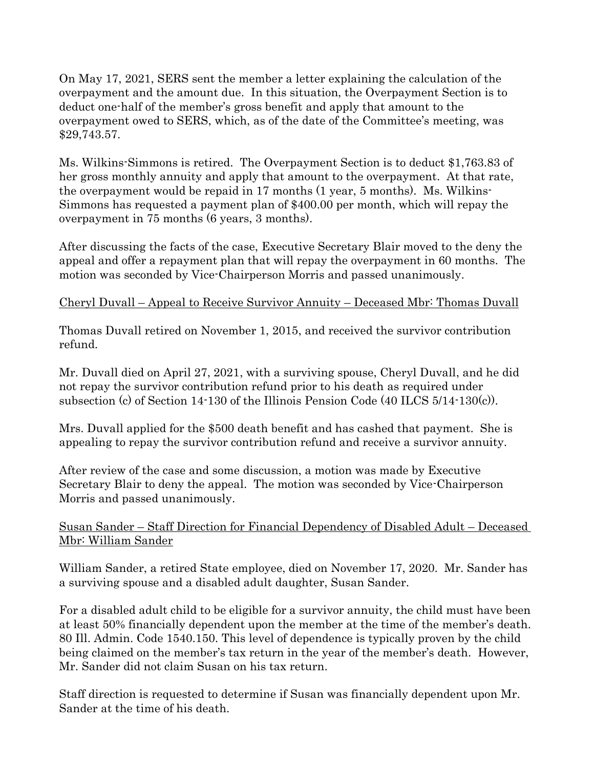On May 17, 2021, SERS sent the member a letter explaining the calculation of the overpayment and the amount due. In this situation, the Overpayment Section is to deduct one-half of the member's gross benefit and apply that amount to the overpayment owed to SERS, which, as of the date of the Committee's meeting, was \$29,743.57.

Ms. Wilkins-Simmons is retired. The Overpayment Section is to deduct \$1,763.83 of her gross monthly annuity and apply that amount to the overpayment. At that rate, the overpayment would be repaid in 17 months (1 year, 5 months). Ms. Wilkins-Simmons has requested a payment plan of \$400.00 per month, which will repay the overpayment in 75 months (6 years, 3 months).

After discussing the facts of the case, Executive Secretary Blair moved to the deny the appeal and offer a repayment plan that will repay the overpayment in 60 months. The motion was seconded by Vice-Chairperson Morris and passed unanimously.

# Cheryl Duvall – Appeal to Receive Survivor Annuity – Deceased Mbr: Thomas Duvall

Thomas Duvall retired on November 1, 2015, and received the survivor contribution refund.

Mr. Duvall died on April 27, 2021, with a surviving spouse, Cheryl Duvall, and he did not repay the survivor contribution refund prior to his death as required under subsection (c) of Section 14-130 of the Illinois Pension Code (40 ILCS 5/14-130(c)).

Mrs. Duvall applied for the \$500 death benefit and has cashed that payment. She is appealing to repay the survivor contribution refund and receive a survivor annuity.

After review of the case and some discussion, a motion was made by Executive Secretary Blair to deny the appeal. The motion was seconded by Vice-Chairperson Morris and passed unanimously.

# Susan Sander – Staff Direction for Financial Dependency of Disabled Adult – Deceased Mbr: William Sander

William Sander, a retired State employee, died on November 17, 2020. Mr. Sander has a surviving spouse and a disabled adult daughter, Susan Sander.

For a disabled adult child to be eligible for a survivor annuity, the child must have been at least 50% financially dependent upon the member at the time of the member's death. 80 Ill. Admin. Code 1540.150. This level of dependence is typically proven by the child being claimed on the member's tax return in the year of the member's death. However, Mr. Sander did not claim Susan on his tax return.

Staff direction is requested to determine if Susan was financially dependent upon Mr. Sander at the time of his death.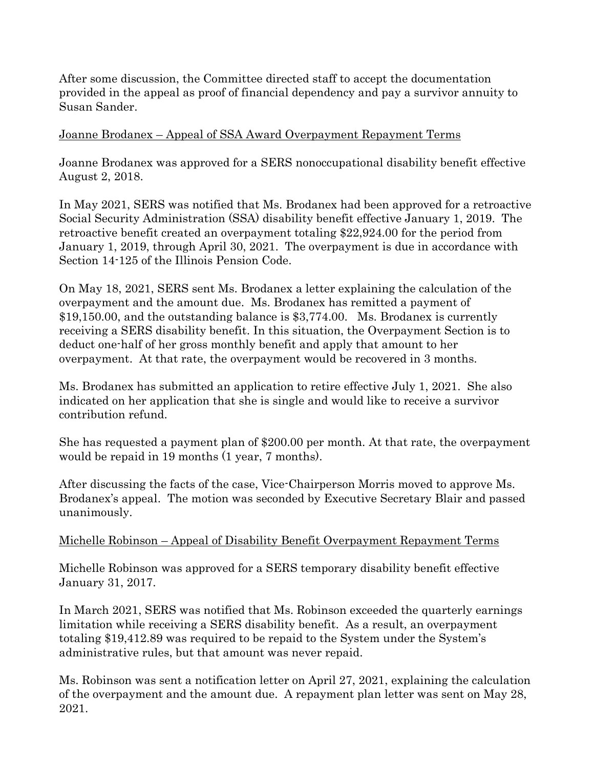After some discussion, the Committee directed staff to accept the documentation provided in the appeal as proof of financial dependency and pay a survivor annuity to Susan Sander.

#### Joanne Brodanex – Appeal of SSA Award Overpayment Repayment Terms

Joanne Brodanex was approved for a SERS nonoccupational disability benefit effective August 2, 2018.

In May 2021, SERS was notified that Ms. Brodanex had been approved for a retroactive Social Security Administration (SSA) disability benefit effective January 1, 2019. The retroactive benefit created an overpayment totaling \$22,924.00 for the period from January 1, 2019, through April 30, 2021. The overpayment is due in accordance with Section 14-125 of the Illinois Pension Code.

On May 18, 2021, SERS sent Ms. Brodanex a letter explaining the calculation of the overpayment and the amount due. Ms. Brodanex has remitted a payment of \$19,150.00, and the outstanding balance is \$3,774.00. Ms. Brodanex is currently receiving a SERS disability benefit. In this situation, the Overpayment Section is to deduct one-half of her gross monthly benefit and apply that amount to her overpayment. At that rate, the overpayment would be recovered in 3 months.

Ms. Brodanex has submitted an application to retire effective July 1, 2021. She also indicated on her application that she is single and would like to receive a survivor contribution refund.

She has requested a payment plan of \$200.00 per month. At that rate, the overpayment would be repaid in 19 months (1 year, 7 months).

After discussing the facts of the case, Vice-Chairperson Morris moved to approve Ms. Brodanex's appeal. The motion was seconded by Executive Secretary Blair and passed unanimously.

#### Michelle Robinson – Appeal of Disability Benefit Overpayment Repayment Terms

Michelle Robinson was approved for a SERS temporary disability benefit effective January 31, 2017.

In March 2021, SERS was notified that Ms. Robinson exceeded the quarterly earnings limitation while receiving a SERS disability benefit. As a result, an overpayment totaling \$19,412.89 was required to be repaid to the System under the System's administrative rules, but that amount was never repaid.

Ms. Robinson was sent a notification letter on April 27, 2021, explaining the calculation of the overpayment and the amount due. A repayment plan letter was sent on May 28, 2021.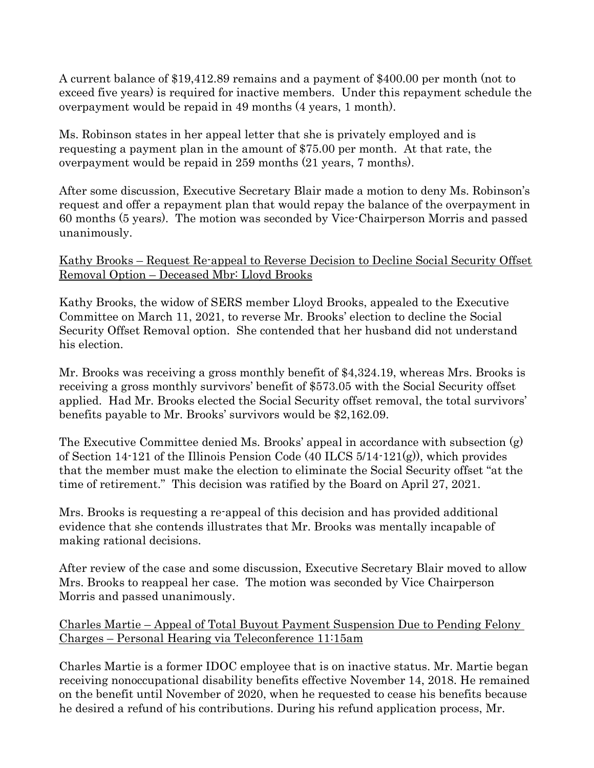A current balance of \$19,412.89 remains and a payment of \$400.00 per month (not to exceed five years) is required for inactive members. Under this repayment schedule the overpayment would be repaid in 49 months (4 years, 1 month).

Ms. Robinson states in her appeal letter that she is privately employed and is requesting a payment plan in the amount of \$75.00 per month. At that rate, the overpayment would be repaid in 259 months (21 years, 7 months).

After some discussion, Executive Secretary Blair made a motion to deny Ms. Robinson's request and offer a repayment plan that would repay the balance of the overpayment in 60 months (5 years). The motion was seconded by Vice-Chairperson Morris and passed unanimously.

### Kathy Brooks – Request Re-appeal to Reverse Decision to Decline Social Security Offset Removal Option – Deceased Mbr: Lloyd Brooks

Kathy Brooks, the widow of SERS member Lloyd Brooks, appealed to the Executive Committee on March 11, 2021, to reverse Mr. Brooks' election to decline the Social Security Offset Removal option. She contended that her husband did not understand his election.

Mr. Brooks was receiving a gross monthly benefit of \$4,324.19, whereas Mrs. Brooks is receiving a gross monthly survivors' benefit of \$573.05 with the Social Security offset applied. Had Mr. Brooks elected the Social Security offset removal, the total survivors' benefits payable to Mr. Brooks' survivors would be \$2,162.09.

The Executive Committee denied Ms. Brooks' appeal in accordance with subsection (g) of Section 14-121 of the Illinois Pension Code (40 ILCS 5/14-121(g)), which provides that the member must make the election to eliminate the Social Security offset "at the time of retirement." This decision was ratified by the Board on April 27, 2021.

Mrs. Brooks is requesting a re-appeal of this decision and has provided additional evidence that she contends illustrates that Mr. Brooks was mentally incapable of making rational decisions.

After review of the case and some discussion, Executive Secretary Blair moved to allow Mrs. Brooks to reappeal her case. The motion was seconded by Vice Chairperson Morris and passed unanimously.

### Charles Martie – Appeal of Total Buyout Payment Suspension Due to Pending Felony Charges – Personal Hearing via Teleconference 11:15am

Charles Martie is a former IDOC employee that is on inactive status. Mr. Martie began receiving nonoccupational disability benefits effective November 14, 2018. He remained on the benefit until November of 2020, when he requested to cease his benefits because he desired a refund of his contributions. During his refund application process, Mr.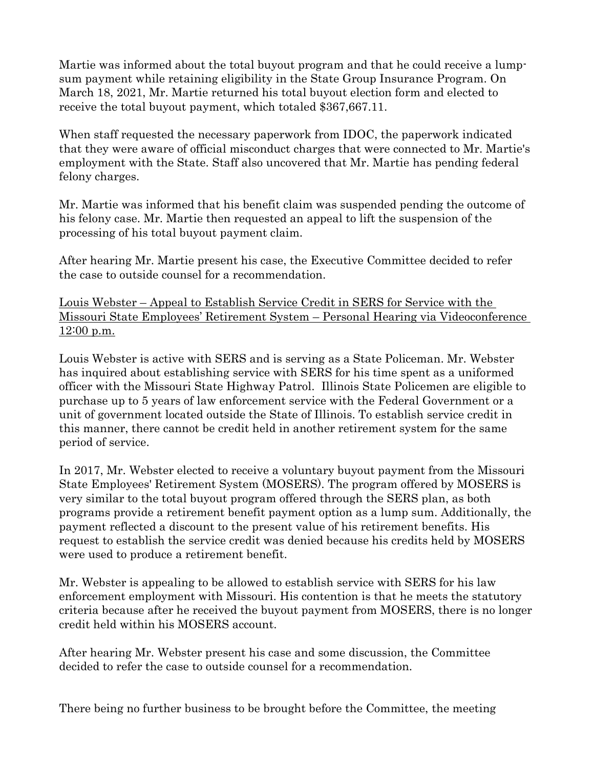Martie was informed about the total buyout program and that he could receive a lumpsum payment while retaining eligibility in the State Group Insurance Program. On March 18, 2021, Mr. Martie returned his total buyout election form and elected to receive the total buyout payment, which totaled \$367,667.11.

When staff requested the necessary paperwork from IDOC, the paperwork indicated that they were aware of official misconduct charges that were connected to Mr. Martie's employment with the State. Staff also uncovered that Mr. Martie has pending federal felony charges.

Mr. Martie was informed that his benefit claim was suspended pending the outcome of his felony case. Mr. Martie then requested an appeal to lift the suspension of the processing of his total buyout payment claim.

After hearing Mr. Martie present his case, the Executive Committee decided to refer the case to outside counsel for a recommendation.

Louis Webster – Appeal to Establish Service Credit in SERS for Service with the Missouri State Employees' Retirement System – Personal Hearing via Videoconference  $12:00$  p.m.

Louis Webster is active with SERS and is serving as a State Policeman. Mr. Webster has inquired about establishing service with SERS for his time spent as a uniformed officer with the Missouri State Highway Patrol. Illinois State Policemen are eligible to purchase up to 5 years of law enforcement service with the Federal Government or a unit of government located outside the State of Illinois. To establish service credit in this manner, there cannot be credit held in another retirement system for the same period of service.

In 2017, Mr. Webster elected to receive a voluntary buyout payment from the Missouri State Employees' Retirement System (MOSERS). The program offered by MOSERS is very similar to the total buyout program offered through the SERS plan, as both programs provide a retirement benefit payment option as a lump sum. Additionally, the payment reflected a discount to the present value of his retirement benefits. His request to establish the service credit was denied because his credits held by MOSERS were used to produce a retirement benefit.

Mr. Webster is appealing to be allowed to establish service with SERS for his law enforcement employment with Missouri. His contention is that he meets the statutory criteria because after he received the buyout payment from MOSERS, there is no longer credit held within his MOSERS account.

After hearing Mr. Webster present his case and some discussion, the Committee decided to refer the case to outside counsel for a recommendation.

There being no further business to be brought before the Committee, the meeting